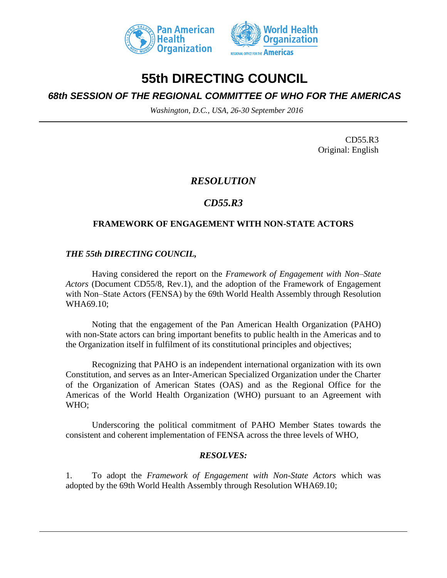



# **55th DIRECTING COUNCIL**

## *68th SESSION OF THE REGIONAL COMMITTEE OF WHO FOR THE AMERICAS*

*Washington, D.C., USA, 26-30 September 2016*

CD55.R3 Original: English

## *RESOLUTION*

## *CD55.R3*

### **FRAMEWORK OF ENGAGEMENT WITH NON-STATE ACTORS**

### *THE 55th DIRECTING COUNCIL,*

Having considered the report on the *Framework of Engagement with Non–State Actors* (Document CD55/8, Rev.1), and the adoption of the Framework of Engagement with Non–State Actors (FENSA) by the 69th World Health Assembly through Resolution WHA69.10;

Noting that the engagement of the Pan American Health Organization (PAHO) with non-State actors can bring important benefits to public health in the Americas and to the Organization itself in fulfilment of its constitutional principles and objectives;

Recognizing that PAHO is an independent international organization with its own Constitution, and serves as an Inter-American Specialized Organization under the Charter of the Organization of American States (OAS) and as the Regional Office for the Americas of the World Health Organization (WHO) pursuant to an Agreement with WHO;

Underscoring the political commitment of PAHO Member States towards the consistent and coherent implementation of FENSA across the three levels of WHO,

### *RESOLVES:*

1. To adopt the *Framework of Engagement with Non-State Actors* which was adopted by the 69th World Health Assembly through Resolution WHA69.10;